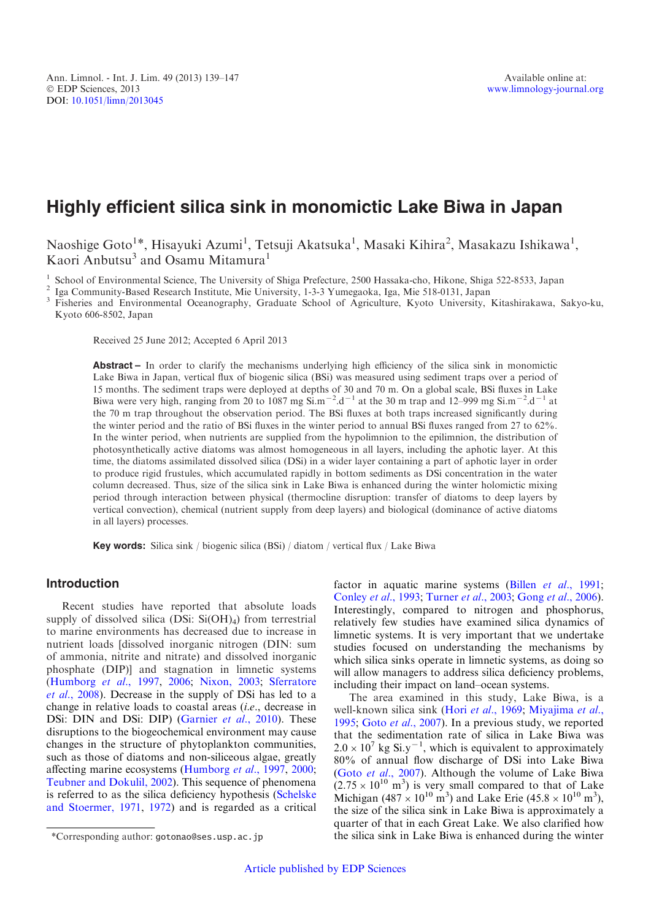# Highly efficient silica sink in monomictic Lake Biwa in Japan

Naoshige Goto<sup>1\*</sup>, Hisayuki Azumi<sup>1</sup>, Tetsuji Akatsuka<sup>1</sup>, Masaki Kihira<sup>2</sup>, Masakazu Ishikawa<sup>1</sup>, Kaori Anbutsu<sup>3</sup> and Osamu Mitamura<sup>1</sup>

<sup>1</sup> School of Environmental Science, The University of Shiga Prefecture, 2500 Hassaka-cho, Hikone, Shiga 522-8533, Japan<br><sup>2</sup> Iga Community-Based Research Institute, Mie University, 1-3-3 Yumegaoka, Iga, Mie 518-0131, Japa Kyoto 606-8502, Japan

Received 25 June 2012; Accepted 6 April 2013

Abstract – In order to clarify the mechanisms underlying high efficiency of the silica sink in monomictic Lake Biwa in Japan, vertical flux of biogenic silica (BSi) was measured using sediment traps over a period of 15 months. The sediment traps were deployed at depths of 30 and 70 m. On a global scale, BSi fluxes in Lake Biwa were very high, ranging from 20 to 1087 mg  $\sin^{-2}$ .d<sup>-1</sup> at the 30 m trap and 12–999 mg  $\sin^{-2}$ .d<sup>-1</sup> at the 70 m trap throughout the observation period. The BSi fluxes at both traps increased significantly during the winter period and the ratio of BSi fluxes in the winter period to annual BSi fluxes ranged from 27 to 62%. In the winter period, when nutrients are supplied from the hypolimnion to the epilimnion, the distribution of photosynthetically active diatoms was almost homogeneous in all layers, including the aphotic layer. At this time, the diatoms assimilated dissolved silica (DSi) in a wider layer containing a part of aphotic layer in order to produce rigid frustules, which accumulated rapidly in bottom sediments as DSi concentration in the water column decreased. Thus, size of the silica sink in Lake Biwa is enhanced during the winter holomictic mixing period through interaction between physical (thermocline disruption: transfer of diatoms to deep layers by vertical convection), chemical (nutrient supply from deep layers) and biological (dominance of active diatoms in all layers) processes.

Key words: Silica sink / biogenic silica (BSi) / diatom / vertical flux / Lake Biwa

# Introduction

Recent studies have reported that absolute loads supply of dissolved silica (DSi:  $Si(OH)_4$ ) from terrestrial to marine environments has decreased due to increase in nutrient loads [dissolved inorganic nitrogen (DIN: sum of ammonia, nitrite and nitrate) and dissolved inorganic phosphate (DIP)] and stagnation in limnetic systems ([Humborg](#page-8-0) et al., 1997, [2006;](#page-7-0) [Nixon, 2003](#page-8-0); [Sferratore](#page-8-0) et al[., 2008\)](#page-8-0). Decrease in the supply of DSi has led to a change in relative loads to coastal areas (i.e., decrease in DSi: DIN and DSi: DIP) ([Garnier](#page-7-0) et al., 2010). These disruptions to the biogeochemical environment may cause changes in the structure of phytoplankton communities, such as those of diatoms and non-siliceous algae, greatly affecting marine ecosystems ([Humborg](#page-8-0) et al., 1997, [2000;](#page-8-0) [Teubner and Dokulil, 2002](#page-8-0)). This sequence of phenomena is referred to as the silica deficiency hypothesis [\(Schelske](#page-8-0) [and Stoermer, 1971,](#page-8-0) [1972\)](#page-8-0) and is regarded as a critical

The area examined in this study, Lake Biwa, is a well-known silica sink (Hori et al[., 1969](#page-7-0); [Miyajima](#page-8-0) et al., [1995](#page-8-0); Goto et al[., 2007](#page-7-0)). In a previous study, we reported that the sedimentation rate of silica in Lake Biwa was  $2.0 \times 10^7$  kg Si.y<sup>-1</sup>, which is equivalent to approximately 80% of annual flow discharge of DSi into Lake Biwa (Goto et al[., 2007](#page-7-0)). Although the volume of Lake Biwa  $(2.75 \times 10^{10} \text{ m}^3)$  is very small compared to that of Lake Michigan (487  $\times$  10<sup>10</sup> m<sup>3</sup>) and Lake Erie (45.8  $\times$  10<sup>10</sup> m<sup>3</sup>), the size of the silica sink in Lake Biwa is approximately a quarter of that in each Great Lake. We also clarified how \*Corresponding author: gotonao@ses.usp.ac.jp the silica sink in Lake Biwa is enhanced during the winter

factor in aquatic marine systems (Billen et al[., 1991;](#page-7-0) [Conley](#page-7-0) et al., 1993; [Turner](#page-8-0) et al., 2003; Gong et al[., 2006](#page-7-0)). Interestingly, compared to nitrogen and phosphorus, relatively few studies have examined silica dynamics of limnetic systems. It is very important that we undertake studies focused on understanding the mechanisms by which silica sinks operate in limnetic systems, as doing so will allow managers to address silica deficiency problems, including their impact on land–ocean systems.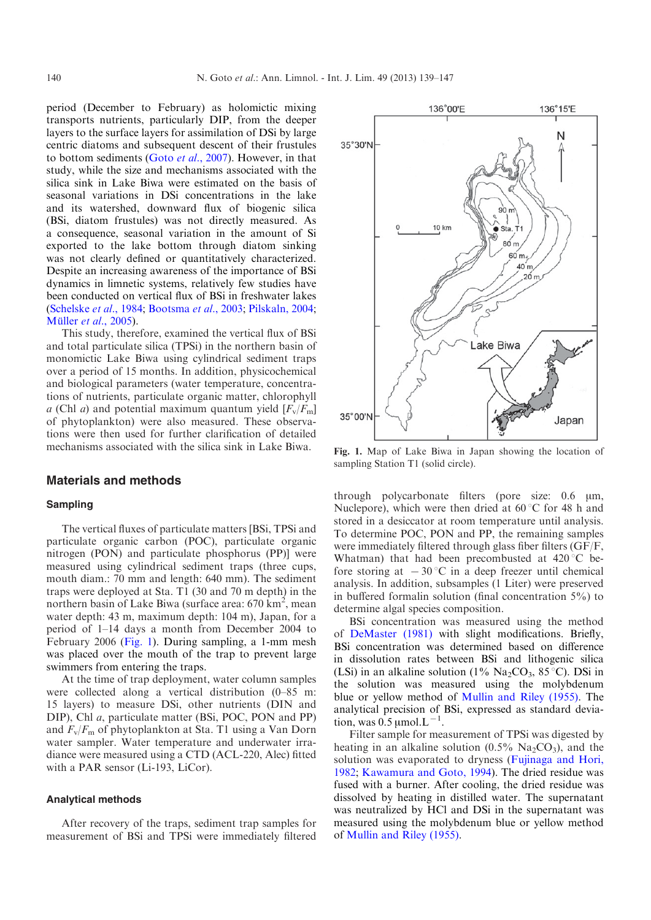period (December to February) as holomictic mixing transports nutrients, particularly DIP, from the deeper layers to the surface layers for assimilation of DSi by large centric diatoms and subsequent descent of their frustules to bottom sediments (Goto et al[., 2007\)](#page-7-0). However, in that study, while the size and mechanisms associated with the silica sink in Lake Biwa were estimated on the basis of seasonal variations in DSi concentrations in the lake and its watershed, downward flux of biogenic silica (BSi, diatom frustules) was not directly measured. As a consequence, seasonal variation in the amount of Si exported to the lake bottom through diatom sinking was not clearly defined or quantitatively characterized. Despite an increasing awareness of the importance of BSi dynamics in limnetic systems, relatively few studies have been conducted on vertical flux of BSi in freshwater lakes ([Schelske](#page-8-0) et al., 1984; [Bootsma](#page-7-0) et al., 2003; [Pilskaln, 2004;](#page-8-0) Müller *et al.*, 2005).

This study, therefore, examined the vertical flux of BSi and total particulate silica (TPSi) in the northern basin of monomictic Lake Biwa using cylindrical sediment traps over a period of 15 months. In addition, physicochemical and biological parameters (water temperature, concentrations of nutrients, particulate organic matter, chlorophyll a (Chl a) and potential maximum quantum yield  $[F_v/F_m]$ of phytoplankton) were also measured. These observations were then used for further clarification of detailed mechanisms associated with the silica sink in Lake Biwa.

# Materials and methods

#### Sampling

The vertical fluxes of particulate matters [BSi, TPSi and particulate organic carbon (POC), particulate organic nitrogen (PON) and particulate phosphorus (PP)] were measured using cylindrical sediment traps (three cups, mouth diam.: 70 mm and length: 640 mm). The sediment traps were deployed at Sta. T1 (30 and 70 m depth) in the northern basin of Lake Biwa (surface area:  $670 \text{ km}^2$ , mean water depth: 43 m, maximum depth: 104 m), Japan, for a period of 1–14 days a month from December 2004 to February 2006 (Fig. 1). During sampling, a 1-mm mesh was placed over the mouth of the trap to prevent large swimmers from entering the traps.

At the time of trap deployment, water column samples were collected along a vertical distribution (0–85 m: 15 layers) to measure DSi, other nutrients (DIN and DIP), Chl a, particulate matter (BSi, POC, PON and PP) and  $F_v/F_m$  of phytoplankton at Sta. T1 using a Van Dorn water sampler. Water temperature and underwater irradiance were measured using a CTD (ACL-220, Alec) fitted with a PAR sensor (Li-193, LiCor).

#### Analytical methods

After recovery of the traps, sediment trap samples for measurement of BSi and TPSi were immediately filtered



Fig. 1. Map of Lake Biwa in Japan showing the location of sampling Station T1 (solid circle).

through polycarbonate filters (pore size:  $0.6 \mu m$ , Nuclepore), which were then dried at  $60^{\circ}$ C for 48 h and stored in a desiccator at room temperature until analysis. To determine POC, PON and PP, the remaining samples were immediately filtered through glass fiber filters (GF/F, Whatman) that had been precombusted at  $420^{\circ}$ C before storing at  $-30$  °C in a deep freezer until chemical analysis. In addition, subsamples (1 Liter) were preserved in buffered formalin solution (final concentration 5%) to determine algal species composition.

BSi concentration was measured using the method of [DeMaster \(1981\)](#page-7-0) with slight modifications. Briefly, BSi concentration was determined based on difference in dissolution rates between BSi and lithogenic silica (LSi) in an alkaline solution (1%  $Na<sub>2</sub>CO<sub>3</sub>$ , 85 °C). DSi in the solution was measured using the molybdenum blue or yellow method of [Mullin and Riley \(1955\)](#page-8-0). The analytical precision of BSi, expressed as standard deviation, was  $0.5 \mu$ mol. $L^{-1}$ .

Filter sample for measurement of TPSi was digested by heating in an alkaline solution  $(0.5\% \text{ Na}_2\text{CO}_3)$ , and the solution was evaporated to dryness ([Fujinaga and Hori,](#page-7-0) [1982](#page-7-0); [Kawamura and Goto, 1994\)](#page-8-0). The dried residue was fused with a burner. After cooling, the dried residue was dissolved by heating in distilled water. The supernatant was neutralized by HCl and DSi in the supernatant was measured using the molybdenum blue or yellow method of [Mullin and Riley \(1955\)](#page-8-0).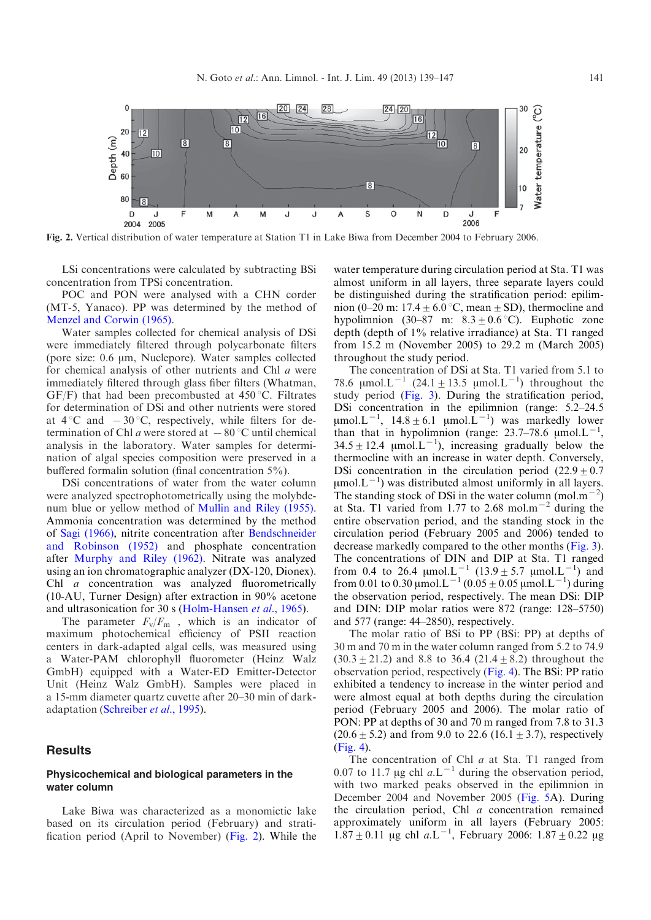

Fig. 2. Vertical distribution of water temperature at Station T1 in Lake Biwa from December 2004 to February 2006.

LSi concentrations were calculated by subtracting BSi concentration from TPSi concentration.

POC and PON were analysed with a CHN corder (MT-5, Yanaco). PP was determined by the method of [Menzel and Corwin \(1965\)](#page-8-0).

Water samples collected for chemical analysis of DSi were immediately filtered through polycarbonate filters (pore size: 0.6  $\mu$ m, Nuclepore). Water samples collected for chemical analysis of other nutrients and Chl a were immediately filtered through glass fiber filters (Whatman, GF/F) that had been precombusted at  $450^{\circ}$ C. Filtrates for determination of DSi and other nutrients were stored at  $4^{\circ}$ C and  $-30^{\circ}$ C, respectively, while filters for determination of Chl a were stored at  $-80^{\circ}$ C until chemical analysis in the laboratory. Water samples for determination of algal species composition were preserved in a buffered formalin solution (final concentration 5%).

DSi concentrations of water from the water column were analyzed spectrophotometrically using the molybdenum blue or yellow method of [Mullin and Riley \(1955\).](#page-8-0) Ammonia concentration was determined by the method of [Sagi \(1966\),](#page-8-0) nitrite concentration after [Bendschneider](#page-7-0) [and Robinson \(1952\)](#page-7-0) and phosphate concentration after [Murphy and Riley \(1962\).](#page-8-0) Nitrate was analyzed using an ion chromatographic analyzer (DX-120, Dionex). Chl *a* concentration was analyzed fluorometrically (10-AU, Turner Design) after extraction in 90% acetone and ultrasonication for 30 s [\(Holm-Hansen](#page-7-0) et al., 1965).

The parameter  $F_v/F_m$ , which is an indicator of maximum photochemical efficiency of PSII reaction centers in dark-adapted algal cells, was measured using a Water-PAM chlorophyll fluorometer (Heinz Walz GmbH) equipped with a Water-ED Emitter-Detector Unit (Heinz Walz GmbH). Samples were placed in a 15-mm diameter quartz cuvette after 20–30 min of darkadaptation [\(Schreiber](#page-8-0) et al., 1995).

## Results

#### Physicochemical and biological parameters in the water column

Lake Biwa was characterized as a monomictic lake based on its circulation period (February) and stratification period (April to November) (Fig. 2). While the water temperature during circulation period at Sta. T1 was almost uniform in all layers, three separate layers could be distinguished during the stratification period: epilimnion (0–20 m: 17.4  $\pm$  6.0 °C, mean  $\pm$  SD), thermocline and hypolimnion (30–87 m:  $8.3 \pm 0.6$  °C). Euphotic zone depth (depth of 1% relative irradiance) at Sta. T1 ranged from 15.2 m (November 2005) to 29.2 m (March 2005) throughout the study period.

The concentration of DSi at Sta. T1 varied from 5.1 to 78.6  $\mu$ mol.L<sup>-1</sup> (24.1 ± 13.5  $\mu$ mol.L<sup>-1</sup>) throughout the study period ([Fig. 3\)](#page-3-0). During the stratification period, DSi concentration in the epilimnion (range: 5.2–24.5  $\mu$ mol.L<sup>-1</sup>, 14.8 ± 6.1  $\mu$ mol.L<sup>-1</sup>) was markedly lower than that in hypolimnion (range: 23.7–78.6  $\mu$ mol.L<sup>-1</sup>,  $34.5 \pm 12.4$  µmol. $L^{-1}$ ), increasing gradually below the thermocline with an increase in water depth. Conversely, DSi concentration in the circulation period  $(22.9 \pm 0.7)$  $\mu$ mol. $L^{-1}$ ) was distributed almost uniformly in all layers. The standing stock of DSi in the water column (mol.m<sup>-2</sup>) at Sta. T1 varied from 1.77 to 2.68 mol.m<sup> $-2$ </sup> during the entire observation period, and the standing stock in the circulation period (February 2005 and 2006) tended to decrease markedly compared to the other months ([Fig. 3](#page-3-0)). The concentrations of DIN and DIP at Sta. T1 ranged from 0.4 to 26.4  $\mu$ mol.L<sup>-1</sup> (13.9 ± 5.7  $\mu$ mol.L<sup>-1</sup>) and from 0.01 to 0.30 µmol.L<sup>-1</sup> (0.05 ± 0.05 µmol.L<sup>-1</sup>) during the observation period, respectively. The mean DSi: DIP and DIN: DIP molar ratios were 872 (range: 128–5750) and 577 (range: 44–2850), respectively.

The molar ratio of BSi to PP (BSi: PP) at depths of 30 m and 70 m in the water column ranged from 5.2 to 74.9  $(30.3 \pm 21.2)$  and 8.8 to 36.4  $(21.4 \pm 8.2)$  throughout the observation period, respectively [\(Fig. 4\)](#page-3-0). The BSi: PP ratio exhibited a tendency to increase in the winter period and were almost equal at both depths during the circulation period (February 2005 and 2006). The molar ratio of PON: PP at depths of 30 and 70 m ranged from 7.8 to 31.3  $(20.6 \pm 5.2)$  and from 9.0 to 22.6 (16.1  $\pm$  3.7), respectively ([Fig. 4](#page-3-0)).

The concentration of Chl  $a$  at Sta. T1 ranged from 0.07 to 11.7  $\mu$ g chl  $a.L^{-1}$  during the observation period, with two marked peaks observed in the epilimnion in December 2004 and November 2005 ([Fig. 5](#page-4-0)A). During the circulation period, Chl  $a$  concentration remained approximately uniform in all layers (February 2005:  $1.87 \pm 0.11$  µg chl a.L<sup>-1</sup>, February 2006:  $1.87 \pm 0.22$  µg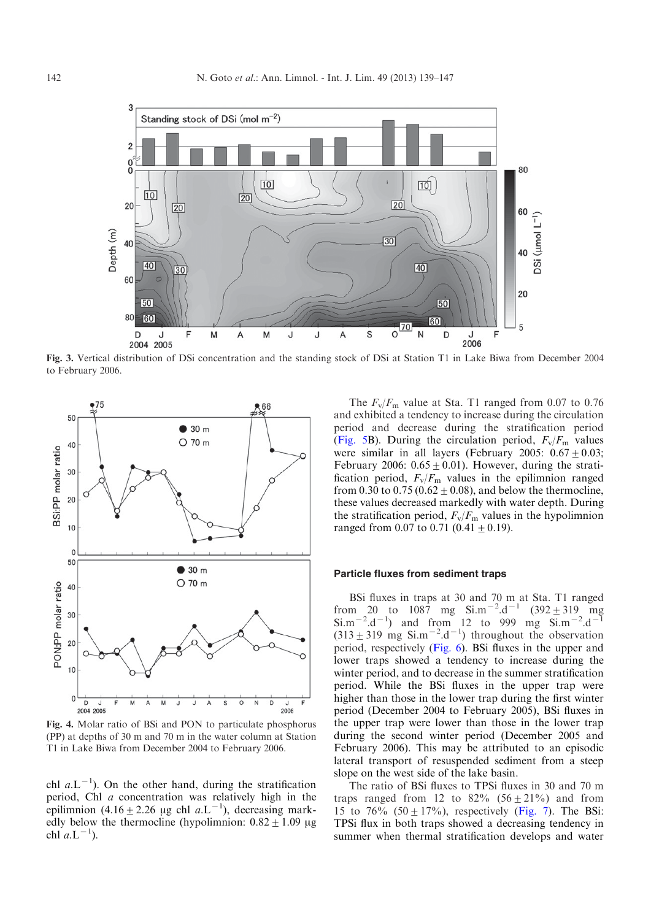<span id="page-3-0"></span>

Fig. 3. Vertical distribution of DSi concentration and the standing stock of DSi at Station T1 in Lake Biwa from December 2004 to February 2006.



Fig. 4. Molar ratio of BSi and PON to particulate phosphorus (PP) at depths of 30 m and 70 m in the water column at Station T1 in Lake Biwa from December 2004 to February 2006.

chl  $a.L^{-1}$ ). On the other hand, during the stratification period, Chl a concentration was relatively high in the epilimnion  $(4.16 \pm 2.26 \text{ µg chl } a.\text{L}^{-1})$ , decreasing markedly below the thermocline (hypolimnion:  $0.82 \pm 1.09$  µg chl  $a.L^{-1}$ ).

The  $F_v/F_m$  value at Sta. T1 ranged from 0.07 to 0.76 and exhibited a tendency to increase during the circulation period and decrease during the stratification period ([Fig. 5B](#page-4-0)). During the circulation period,  $F_v/F_m$  values were similar in all layers (February 2005:  $0.67 \pm 0.03$ ; February 2006:  $0.65 \pm 0.01$ ). However, during the stratification period,  $F_v/F_m$  values in the epilimnion ranged from 0.30 to 0.75 (0.62  $\pm$  0.08), and below the thermocline, these values decreased markedly with water depth. During the stratification period,  $F_v/F_m$  values in the hypolimnion ranged from 0.07 to 0.71 (0.41  $\pm$  0.19).

# Particle fluxes from sediment traps

BSi fluxes in traps at 30 and 70 m at Sta. T1 ranged from 20 to  $1087$  mg  $\text{Si.m}^{-2} \cdot \text{d}^{-1}$  (392  $\pm$  319 mg  $\text{Si.m}^{-2} \cdot \text{d}^{-1}$  and from 12 to 999 mg  $\text{Si.m}^{-2} \cdot \text{d}^{-1}$  $(313 \pm 319 \text{ mg } \sin^{-2} \text{.d}^{-1})$  throughout the observation period, respectively ([Fig. 6](#page-4-0)). BSi fluxes in the upper and lower traps showed a tendency to increase during the winter period, and to decrease in the summer stratification period. While the BSi fluxes in the upper trap were higher than those in the lower trap during the first winter period (December 2004 to February 2005), BSi fluxes in the upper trap were lower than those in the lower trap during the second winter period (December 2005 and February 2006). This may be attributed to an episodic lateral transport of resuspended sediment from a steep slope on the west side of the lake basin.

The ratio of BSi fluxes to TPSi fluxes in 30 and 70 m traps ranged from 12 to  $82\%$   $(56 \pm 21\%)$  and from 15 to 76% (50  $\pm$  17%), respectively [\(Fig. 7\)](#page-4-0). The BSi: TPSi flux in both traps showed a decreasing tendency in summer when thermal stratification develops and water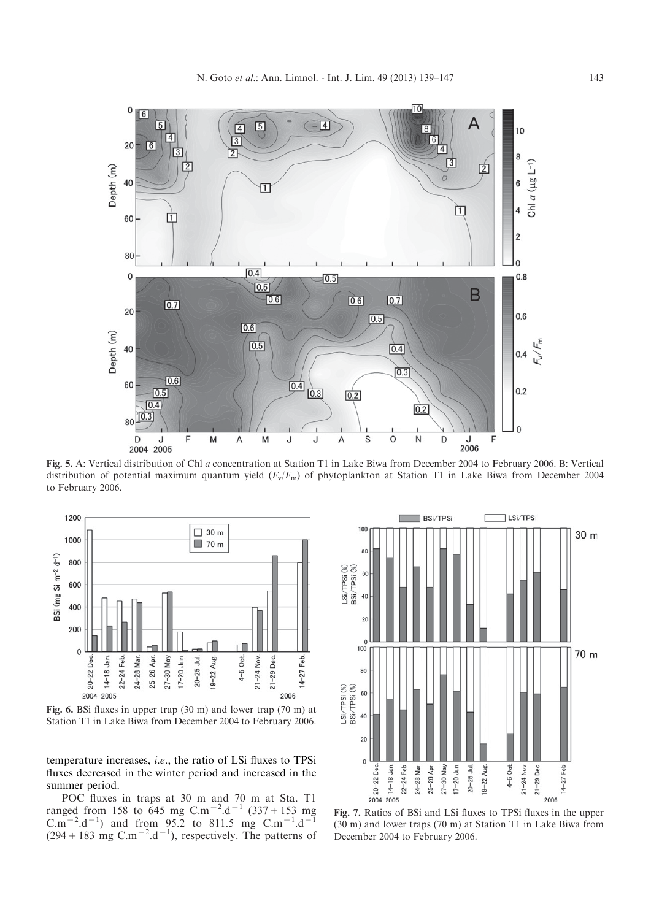<span id="page-4-0"></span>

Fig. 5. A: Vertical distribution of Chl a concentration at Station T1 in Lake Biwa from December 2004 to February 2006. B: Vertical distribution of potential maximum quantum yield  $(F_v/F_m)$  of phytoplankton at Station T1 in Lake Biwa from December 2004 to February 2006.



Fig. 6. BSi fluxes in upper trap (30 m) and lower trap (70 m) at Station T1 in Lake Biwa from December 2004 to February 2006.

temperature increases, i.e., the ratio of LSi fluxes to TPSi fluxes decreased in the winter period and increased in the summer period.

POC fluxes in traps at 30 m and 70 m at Sta. T1 ranged from 158 to 645 mg C.m<sup>-2</sup>.d<sup>-1</sup> (337  $\pm$  153 mg  $C.m^{-2}.d^{-1}$ ) and from 95.2 to 811.5 mg  $C.m^{-1}.d^{-1}$  $(294 \pm 183 \text{ mg } \text{C.m}^{-2} \text{.d}^{-1})$ , respectively. The patterns of



Fig. 7. Ratios of BSi and LSi fluxes to TPSi fluxes in the upper (30 m) and lower traps (70 m) at Station T1 in Lake Biwa from December 2004 to February 2006.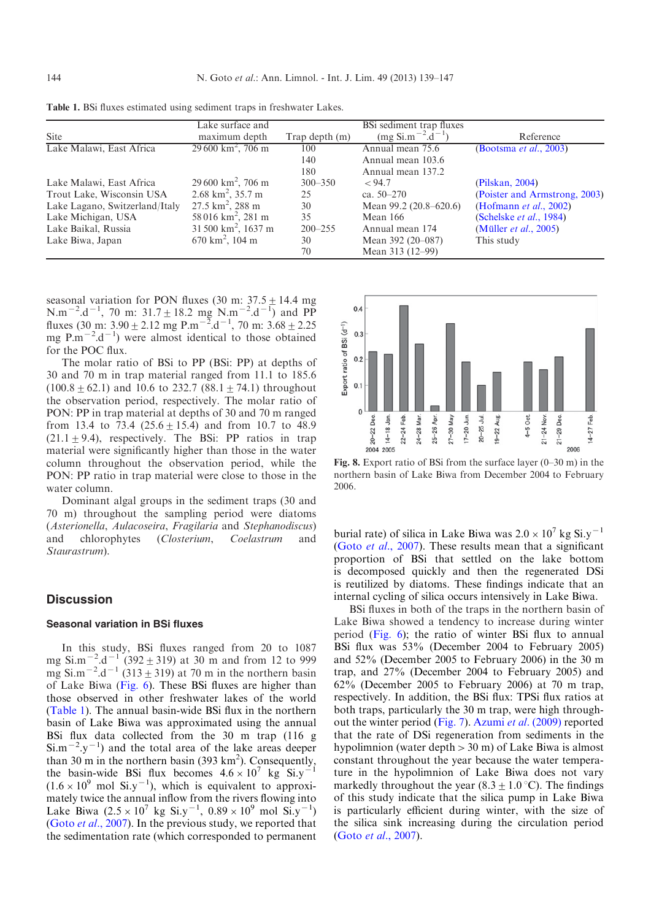|                                | Lake surface and              |                | BSi sediment trap fluxes |                                |
|--------------------------------|-------------------------------|----------------|--------------------------|--------------------------------|
| <b>Site</b>                    | maximum depth                 | Trap depth (m) | $(mg Si.m^{-2}.d^{-1})$  | Reference                      |
| Lake Malawi, East Africa       | $29600 \text{ km}^2$ , 706 m  | 100            | Annual mean 75.6         | (Bootsma <i>et al.</i> , 2003) |
|                                |                               | 140            | Annual mean 103.6        |                                |
|                                |                               | 180            | Annual mean 137.2        |                                |
| Lake Malawi, East Africa       | $29600 \text{ km}^2$ , 706 m  | $300 - 350$    | < 94.7                   | (Pilskan, 2004)                |
| Trout Lake, Wisconsin USA      | $2.68 \text{ km}^2$ , 35.7 m  | 25             | ca. $50-270$             | (Poister and Armstrong, 2003)  |
| Lake Lagano, Switzerland/Italy | $27.5 \text{ km}^2$ , 288 m   | 30             | Mean 99.2 (20.8–620.6)   | (Hofmann $et$ al., 2002)       |
| Lake Michigan, USA             | 58 016 $km^2$ , 281 m         | 35             | Mean 166                 | (Schelske et al., 1984)        |
| Lake Baikal, Russia            | $31500 \text{ km}^2$ , 1637 m | $200 - 255$    | Annual mean 174          | (Müller <i>et al.</i> , 2005)  |
| Lake Biwa, Japan               | $670 \text{ km}^2$ , 104 m    | 30             | Mean 392 (20–087)        | This study                     |
|                                |                               | 70             | Mean 313 (12–99)         |                                |

<span id="page-5-0"></span>Table 1. BSi fluxes estimated using sediment traps in freshwater Lakes.

seasonal variation for PON fluxes (30 m:  $37.5 \pm 14.4$  mg  $N.m^{-2}.d^{-1}$ , 70 m: 31.7  $\pm$  18.2 mg  $N.m^{-2}.d^{-1}$ ) and PP fluxes (30 m:  $3.90 \pm 2.12$  mg P.m<sup>-2</sup>.d<sup>-1</sup>, 70 m:  $3.68 \pm 2.25$ mg  $P.m^{-2}.d^{-1}$ ) were almost identical to those obtained for the POC flux.

The molar ratio of BSi to PP (BSi: PP) at depths of 30 and 70 m in trap material ranged from 11.1 to 185.6  $(100.8 \pm 62.1)$  and 10.6 to 232.7 (88.1  $\pm$  74.1) throughout the observation period, respectively. The molar ratio of PON: PP in trap material at depths of 30 and 70 m ranged from 13.4 to 73.4 (25.6  $\pm$  15.4) and from 10.7 to 48.9  $(21.1 + 9.4)$ , respectively. The BSi: PP ratios in trap material were significantly higher than those in the water column throughout the observation period, while the PON: PP ratio in trap material were close to those in the water column.

Dominant algal groups in the sediment traps (30 and 70 m) throughout the sampling period were diatoms (Asterionella, Aulacoseira, Fragilaria and Stephanodiscus) and chlorophytes (Closterium, Coelastrum and Staurastrum).

# **Discussion**

#### Seasonal variation in BSi fluxes

In this study, BSi fluxes ranged from 20 to 1087 mg Si.m<sup> $-2$ </sup>.d<sup> $-1$ </sup> (392  $\pm$  319) at 30 m and from 12 to 999 mg Si.m<sup> $-2$ </sup>.d<sup> $-1$ </sup> (313  $\pm$  319) at 70 m in the northern basin of Lake Biwa [\(Fig. 6](#page-4-0)). These BSi fluxes are higher than those observed in other freshwater lakes of the world (Table 1). The annual basin-wide BSi flux in the northern basin of Lake Biwa was approximated using the annual BSi flux data collected from the 30 m trap (116 g  $\text{Si.m}^{-2}$ .y<sup>-1</sup>) and the total area of the lake areas deeper than 30 m in the northern basin (393  $\text{km}^2$ ). Consequently, the basin-wide BSi flux becomes  $4.6 \times 10^7$  kg Si.y<sup>-1</sup>  $(1.6 \times 10^{9} \text{ mol Si.y}^{-1})$ , which is equivalent to approximately twice the annual inflow from the rivers flowing into Lake Biwa  $(2.5 \times 10^7 \text{ kg Si.y}^{-1}, 0.89 \times 10^9 \text{ mol Si.y}^{-1})$ (Goto et al[., 2007](#page-7-0)). In the previous study, we reported that the sedimentation rate (which corresponded to permanent



Fig. 8. Export ratio of BSi from the surface layer (0–30 m) in the northern basin of Lake Biwa from December 2004 to February 2006.

burial rate) of silica in Lake Biwa was  $2.0 \times 10^7$  kg Si.y<sup>-1</sup> (Goto et al[., 2007\)](#page-7-0). These results mean that a significant proportion of BSi that settled on the lake bottom is decomposed quickly and then the regenerated DSi is reutilized by diatoms. These findings indicate that an internal cycling of silica occurs intensively in Lake Biwa.

BSi fluxes in both of the traps in the northern basin of Lake Biwa showed a tendency to increase during winter period [\(Fig. 6\)](#page-4-0); the ratio of winter BSi flux to annual BSi flux was 53% (December 2004 to February 2005) and 52% (December 2005 to February 2006) in the 30 m trap, and 27% (December 2004 to February 2005) and 62% (December 2005 to February 2006) at 70 m trap, respectively. In addition, the BSi flux: TPSi flux ratios at both traps, particularly the 30 m trap, were high throughout the winter period ([Fig. 7](#page-4-0)). Azumi et al[. \(2009\)](#page-7-0) reported that the rate of DSi regeneration from sediments in the hypolimnion (water depth  $> 30$  m) of Lake Biwa is almost constant throughout the year because the water temperature in the hypolimnion of Lake Biwa does not vary markedly throughout the year  $(8.3 \pm 1.0 \degree C)$ . The findings of this study indicate that the silica pump in Lake Biwa is particularly efficient during winter, with the size of the silica sink increasing during the circulation period (Goto et al[., 2007](#page-7-0)).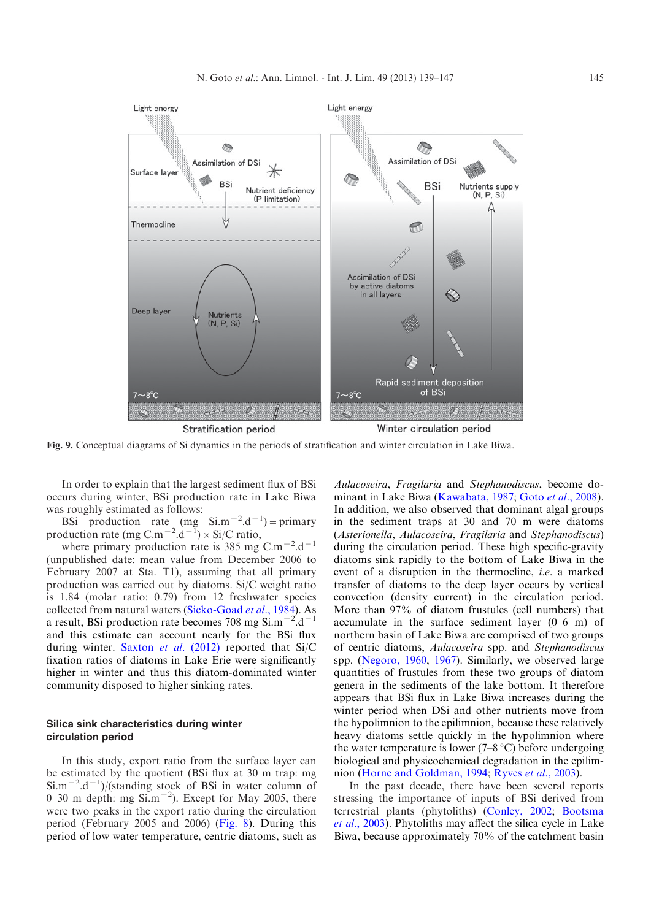<span id="page-6-0"></span>

Fig. 9. Conceptual diagrams of Si dynamics in the periods of stratification and winter circulation in Lake Biwa.

In order to explain that the largest sediment flux of BSi occurs during winter, BSi production rate in Lake Biwa was roughly estimated as follows:

BSi production rate (mg  $\sin^{-2}$ .d<sup>-1</sup>) = primary production rate (mg C.m<sup>-2</sup>.d<sup>-1</sup>) × Si/C ratio,

where primary production rate is 385 mg C.m<sup> $-2$ </sup>.d<sup> $-1$ </sup> (unpublished date: mean value from December 2006 to February 2007 at Sta. T1), assuming that all primary production was carried out by diatoms. Si/C weight ratio is 1.84 (molar ratio: 0.79) from 12 freshwater species collected from natural waters ([Sicko-Goad](#page-8-0) et al., 1984). As a result, BSi production rate becomes 708 mg  $\sin^{-2}$ .d<sup>-1</sup> and this estimate can account nearly for the BSi flux during winter. Saxton et al[. \(2012\)](#page-8-0) reported that Si/C fixation ratios of diatoms in Lake Erie were significantly higher in winter and thus this diatom-dominated winter community disposed to higher sinking rates.

# Silica sink characteristics during winter circulation period

In this study, export ratio from the surface layer can be estimated by the quotient (BSi flux at 30 m trap: mg  $\sin^{-2}$ .d<sup>-1</sup>)/(standing stock of BSi in water column of 0–30 m depth: mg  $\sin^{-2}$ ). Except for May 2005, there were two peaks in the export ratio during the circulation period (February 2005 and 2006) ([Fig. 8\)](#page-5-0). During this period of low water temperature, centric diatoms, such as

Aulacoseira, Fragilaria and Stephanodiscus, become do-minant in Lake Biwa [\(Kawabata, 1987](#page-8-0); Goto et al[., 2008](#page-7-0)). In addition, we also observed that dominant algal groups in the sediment traps at 30 and 70 m were diatoms (Asterionella, Aulacoseira, Fragilaria and Stephanodiscus) during the circulation period. These high specific-gravity diatoms sink rapidly to the bottom of Lake Biwa in the event of a disruption in the thermocline, i.e. a marked transfer of diatoms to the deep layer occurs by vertical convection (density current) in the circulation period. More than 97% of diatom frustules (cell numbers) that accumulate in the surface sediment layer (0–6 m) of northern basin of Lake Biwa are comprised of two groups of centric diatoms, Aulacoseira spp. and Stephanodiscus spp. ([Negoro, 1960,](#page-8-0) [1967\)](#page-8-0). Similarly, we observed large quantities of frustules from these two groups of diatom genera in the sediments of the lake bottom. It therefore appears that BSi flux in Lake Biwa increases during the winter period when DSi and other nutrients move from the hypolimnion to the epilimnion, because these relatively heavy diatoms settle quickly in the hypolimnion where the water temperature is lower  $(7-8 \degree C)$  before undergoing biological and physicochemical degradation in the epilim-nion ([Horne and Goldman, 1994;](#page-8-0) Ryves et al[., 2003\)](#page-8-0).

In the past decade, there have been several reports stressing the importance of inputs of BSi derived from terrestrial plants (phytoliths) ([Conley, 2002](#page-7-0); [Bootsma](#page-7-0) et al[., 2003](#page-7-0)). Phytoliths may affect the silica cycle in Lake Biwa, because approximately 70% of the catchment basin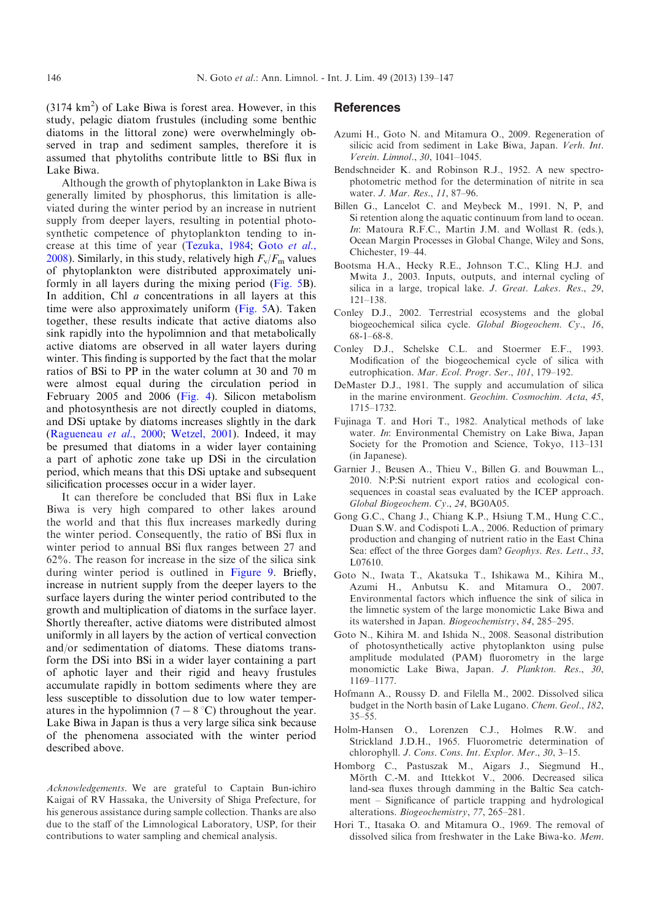<span id="page-7-0"></span> $(3174 \text{ km}^2)$  of Lake Biwa is forest area. However, in this study, pelagic diatom frustules (including some benthic diatoms in the littoral zone) were overwhelmingly observed in trap and sediment samples, therefore it is assumed that phytoliths contribute little to BSi flux in Lake Biwa.

Although the growth of phytoplankton in Lake Biwa is generally limited by phosphorus, this limitation is alleviated during the winter period by an increase in nutrient supply from deeper layers, resulting in potential photosynthetic competence of phytoplankton tending to increase at this time of year [\(Tezuka, 1984](#page-8-0); Goto et al., 2008). Similarly, in this study, relatively high  $F_v/F_m$  values of phytoplankton were distributed approximately uniformly in all layers during the mixing period [\(Fig. 5B](#page-4-0)). In addition, Chl *a* concentrations in all layers at this time were also approximately uniform ([Fig. 5A](#page-4-0)). Taken together, these results indicate that active diatoms also sink rapidly into the hypolimnion and that metabolically active diatoms are observed in all water layers during winter. This finding is supported by the fact that the molar ratios of BSi to PP in the water column at 30 and 70 m were almost equal during the circulation period in February 2005 and 2006 ([Fig. 4](#page-3-0)). Silicon metabolism and photosynthesis are not directly coupled in diatoms, and DSi uptake by diatoms increases slightly in the dark ([Ragueneau](#page-8-0) et al., 2000; [Wetzel, 2001](#page-8-0)). Indeed, it may be presumed that diatoms in a wider layer containing a part of aphotic zone take up DSi in the circulation period, which means that this DSi uptake and subsequent silicification processes occur in a wider layer.

It can therefore be concluded that BSi flux in Lake Biwa is very high compared to other lakes around the world and that this flux increases markedly during the winter period. Consequently, the ratio of BSi flux in winter period to annual BSi flux ranges between 27 and 62%. The reason for increase in the size of the silica sink during winter period is outlined in [Figure 9](#page-6-0). Briefly, increase in nutrient supply from the deeper layers to the surface layers during the winter period contributed to the growth and multiplication of diatoms in the surface layer. Shortly thereafter, active diatoms were distributed almost uniformly in all layers by the action of vertical convection and/or sedimentation of diatoms. These diatoms transform the DSi into BSi in a wider layer containing a part of aphotic layer and their rigid and heavy frustules accumulate rapidly in bottom sediments where they are less susceptible to dissolution due to low water temperatures in the hypolimnion (7 – 8 °C) throughout the year. Lake Biwa in Japan is thus a very large silica sink because of the phenomena associated with the winter period described above.

Acknowledgements. We are grateful to Captain Bun-ichiro Kaigai of RV Hassaka, the University of Shiga Prefecture, for his generous assistance during sample collection. Thanks are also due to the staff of the Limnological Laboratory, USP, for their contributions to water sampling and chemical analysis.

### **References**

- Azumi H., Goto N. and Mitamura O., 2009. Regeneration of silicic acid from sediment in Lake Biwa, Japan. Verh. Int. Verein. Limnol., 30, 1041–1045.
- Bendschneider K. and Robinson R.J., 1952. A new spectrophotometric method for the determination of nitrite in sea water. J. Mar. Res., 11, 87–96.
- Billen G., Lancelot C. and Meybeck M., 1991. N, P, and Si retention along the aquatic continuum from land to ocean. In: Matoura R.F.C., Martin J.M. and Wollast R. (eds.), Ocean Margin Processes in Global Change, Wiley and Sons, Chichester, 19–44.
- Bootsma H.A., Hecky R.E., Johnson T.C., Kling H.J. and Mwita J., 2003. Inputs, outputs, and internal cycling of silica in a large, tropical lake. J. Great. Lakes. Res., 29, 121–138.
- Conley D.J., 2002. Terrestrial ecosystems and the global biogeochemical silica cycle. Global Biogeochem. Cy., 16, 68-1–68-8.
- Conley D.J., Schelske C.L. and Stoermer E.F., 1993. Modification of the biogeochemical cycle of silica with eutrophication. Mar. Ecol. Progr. Ser., 101, 179–192.
- DeMaster D.J., 1981. The supply and accumulation of silica in the marine environment. Geochim. Cosmochim. Acta, 45, 1715–1732.
- Fujinaga T. and Hori T., 1982. Analytical methods of lake water. In: Environmental Chemistry on Lake Biwa, Japan Society for the Promotion and Science, Tokyo, 113–131 (in Japanese).
- Garnier J., Beusen A., Thieu V., Billen G. and Bouwman L., 2010. N:P:Si nutrient export ratios and ecological consequences in coastal seas evaluated by the ICEP approach. Global Biogeochem. Cy., 24, BG0A05.
- Gong G.C., Chang J., Chiang K.P., Hsiung T.M., Hung C.C., Duan S.W. and Codispoti L.A., 2006. Reduction of primary production and changing of nutrient ratio in the East China Sea: effect of the three Gorges dam? Geophys. Res. Lett., 33, L07610.
- Goto N., Iwata T., Akatsuka T., Ishikawa M., Kihira M., Azumi H., Anbutsu K. and Mitamura O., 2007. Environmental factors which influence the sink of silica in the limnetic system of the large monomictic Lake Biwa and its watershed in Japan. Biogeochemistry, 84, 285–295.
- Goto N., Kihira M. and Ishida N., 2008. Seasonal distribution of photosynthetically active phytoplankton using pulse amplitude modulated (PAM) fluorometry in the large monomictic Lake Biwa, Japan. J. Plankton. Res., 30, 1169–1177.
- Hofmann A., Roussy D. and Filella M., 2002. Dissolved silica budget in the North basin of Lake Lugano. Chem. Geol., 182, 35–55.
- Holm-Hansen O., Lorenzen C.J., Holmes R.W. and Strickland J.D.H., 1965. Fluorometric determination of chlorophyll. J. Cons. Cons. Int. Explor. Mer., 30, 3–15.
- Homborg C., Pastuszak M., Aigars J., Siegmund H., Mörth C.-M. and Ittekkot V., 2006. Decreased silica land-sea fluxes through damming in the Baltic Sea catchment – Significance of particle trapping and hydrological alterations. Biogeochemistry, 77, 265–281.
- Hori T., Itasaka O. and Mitamura O., 1969. The removal of dissolved silica from freshwater in the Lake Biwa-ko. Mem.